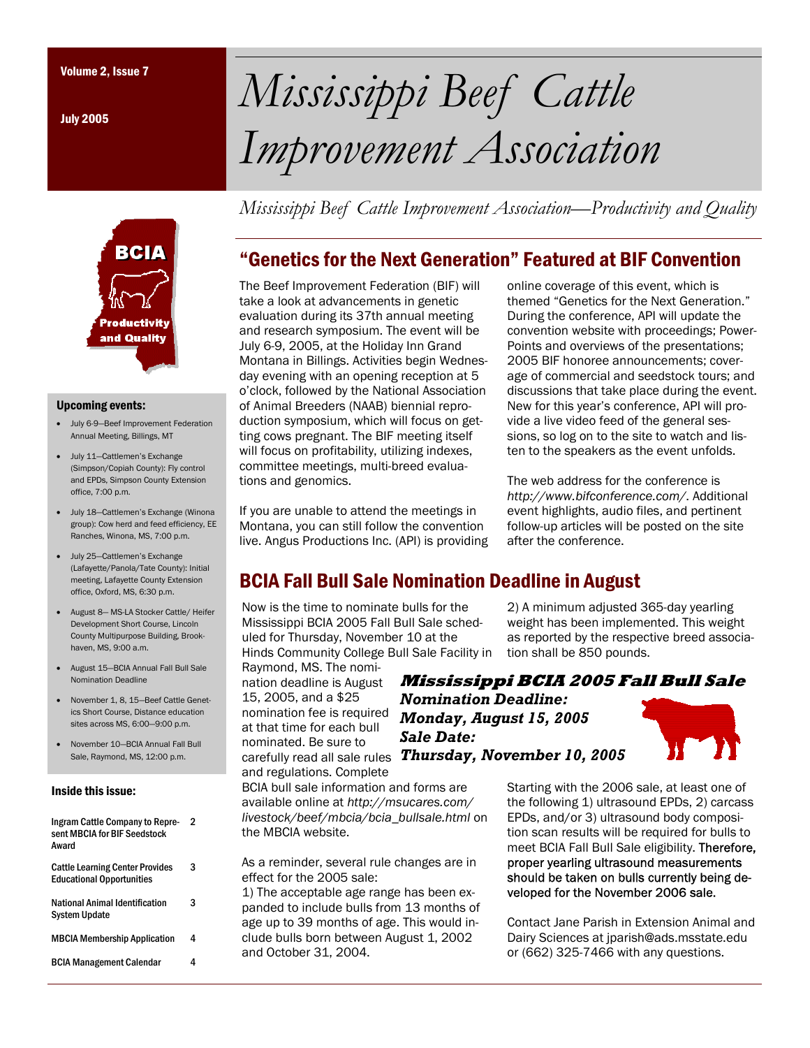July 2005



#### Upcoming events:

- July 6-9—Beef Improvement Federation Annual Meeting, Billings, MT
- July 11—Cattlemen's Exchange (Simpson/Copiah County): Fly control and EPDs, Simpson County Extension office, 7:00 p.m.
- July 18—Cattlemen's Exchange (Winona group): Cow herd and feed efficiency, EE Ranches, Winona, MS, 7:00 p.m.
- July 25—Cattlemen's Exchange (Lafayette/Panola/Tate County): Initial meeting, Lafayette County Extension office, Oxford, MS, 6:30 p.m.
- August 8— MS-LA Stocker Cattle/ Heifer Development Short Course, Lincoln County Multipurpose Building, Brookhaven, MS, 9:00 a.m.
- August 15—BCIA Annual Fall Bull Sale Nomination Deadline
- November 1, 8, 15—Beef Cattle Genetics Short Course, Distance education sites across MS, 6:00—9:00 p.m.
- November 10—BCIA Annual Fall Bull Sale, Raymond, MS, 12:00 p.m.

#### Inside this issue:

| Ingram Cattle Company to Repre-<br>sent MBCIA for BIF Seedstock<br>Award   | 2 |
|----------------------------------------------------------------------------|---|
| <b>Cattle Learning Center Provides</b><br><b>Educational Opportunities</b> | 3 |
| National Animal Identification<br><b>System Update</b>                     | з |
| <b>MBCIA Membership Application</b>                                        | 4 |
| <b>BCIA Management Calendar</b>                                            |   |

# Volume 2, Issue 7 *Mississippi Beef Cattle Improvement Association*

*Mississippi Beef Cattle Improvement Association—Productivity and Quality* 

# "Genetics for the Next Generation" Featured at BIF Convention

The Beef Improvement Federation (BIF) will take a look at advancements in genetic evaluation during its 37th annual meeting and research symposium. The event will be July 6-9, 2005, at the Holiday Inn Grand Montana in Billings. Activities begin Wednesday evening with an opening reception at 5 o'clock, followed by the National Association of Animal Breeders (NAAB) biennial reproduction symposium, which will focus on getting cows pregnant. The BIF meeting itself will focus on profitability, utilizing indexes, committee meetings, multi-breed evaluations and genomics.

If you are unable to attend the meetings in Montana, you can still follow the convention live. Angus Productions Inc. (API) is providing online coverage of this event, which is themed "Genetics for the Next Generation." During the conference, API will update the convention website with proceedings; Power-Points and overviews of the presentations; 2005 BIF honoree announcements; coverage of commercial and seedstock tours; and discussions that take place during the event. New for this year's conference, API will provide a live video feed of the general sessions, so log on to the site to watch and listen to the speakers as the event unfolds.

The web address for the conference is *http://www.bifconference.com/*. Additional event highlights, audio files, and pertinent follow-up articles will be posted on the site after the conference.

2) A minimum adjusted 365-day yearling weight has been implemented. This weight as reported by the respective breed associa-

# BCIA Fall Bull Sale Nomination Deadline in August

Now is the time to nominate bulls for the Mississippi BCIA 2005 Fall Bull Sale scheduled for Thursday, November 10 at the Hinds Community College Bull Sale Facility in

Raymond, MS. The nomination deadline is August 15, 2005, and a \$25 nomination fee is required at that time for each bull nominated. Be sure to carefully read all sale rules *Thursday, November 10, 2005*and regulations. Complete

**Mississippi BCIA 2005 Fall Bull Sale**  *Nomination Deadline: Monday, August 15, 2005 Sale Date:* 

tion shall be 850 pounds.

BCIA bull sale information and forms are available online at *http://msucares.com/ livestock/beef/mbcia/bcia\_bullsale.html* on the MBCIA website.

As a reminder, several rule changes are in effect for the 2005 sale:

1) The acceptable age range has been expanded to include bulls from 13 months of age up to 39 months of age. This would include bulls born between August 1, 2002 and October 31, 2004.

Starting with the 2006 sale, at least one of the following 1) ultrasound EPDs, 2) carcass EPDs, and/or 3) ultrasound body composition scan results will be required for bulls to meet BCIA Fall Bull Sale eligibility. Therefore, proper yearling ultrasound measurements should be taken on bulls currently being developed for the November 2006 sale.

Contact Jane Parish in Extension Animal and Dairy Sciences at jparish@ads.msstate.edu or (662) 325-7466 with any questions.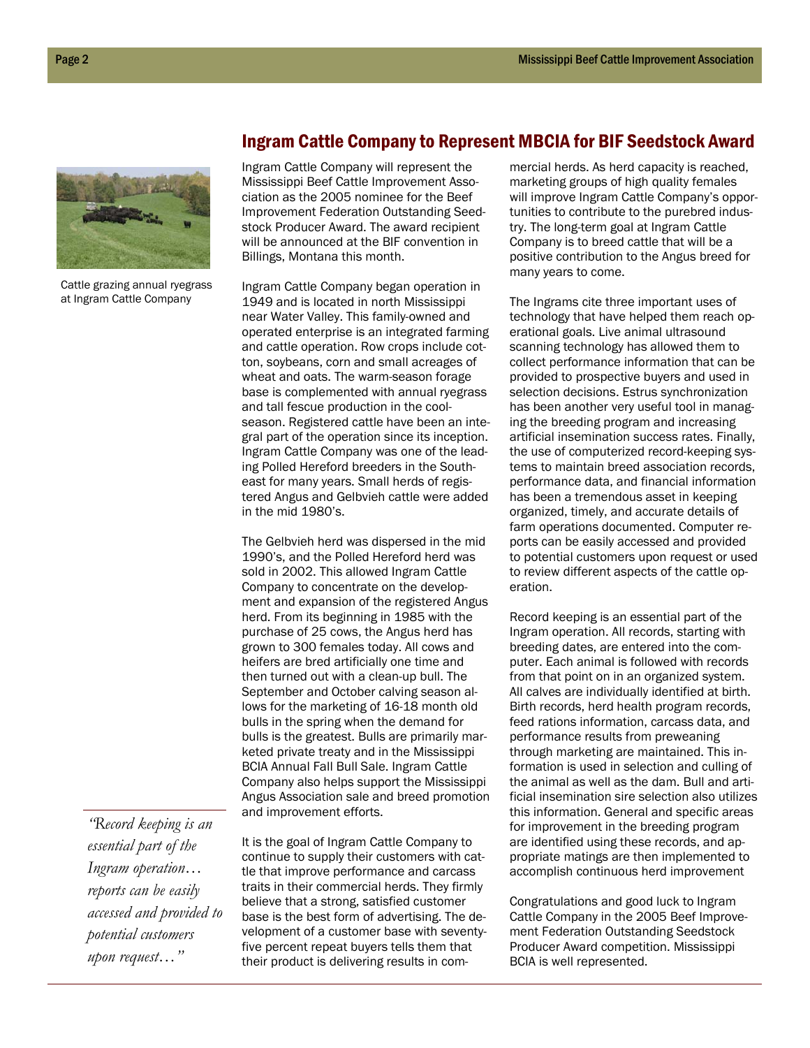

Cattle grazing annual ryegrass at Ingram Cattle Company

### Ingram Cattle Company to Represent MBCIA for BIF Seedstock Award

Ingram Cattle Company will represent the Mississippi Beef Cattle Improvement Association as the 2005 nominee for the Beef Improvement Federation Outstanding Seedstock Producer Award. The award recipient will be announced at the BIF convention in Billings, Montana this month.

Ingram Cattle Company began operation in 1949 and is located in north Mississippi near Water Valley. This family-owned and operated enterprise is an integrated farming and cattle operation. Row crops include cotton, soybeans, corn and small acreages of wheat and oats. The warm-season forage base is complemented with annual ryegrass and tall fescue production in the coolseason. Registered cattle have been an integral part of the operation since its inception. Ingram Cattle Company was one of the leading Polled Hereford breeders in the Southeast for many years. Small herds of registered Angus and Gelbvieh cattle were added in the mid 1980's.

The Gelbvieh herd was dispersed in the mid 1990's, and the Polled Hereford herd was sold in 2002. This allowed Ingram Cattle Company to concentrate on the development and expansion of the registered Angus herd. From its beginning in 1985 with the purchase of 25 cows, the Angus herd has grown to 300 females today. All cows and heifers are bred artificially one time and then turned out with a clean-up bull. The September and October calving season allows for the marketing of 16-18 month old bulls in the spring when the demand for bulls is the greatest. Bulls are primarily marketed private treaty and in the Mississippi BCIA Annual Fall Bull Sale. Ingram Cattle Company also helps support the Mississippi Angus Association sale and breed promotion and improvement efforts.

*"Record keeping is an essential part of the Ingram operation… reports can be easily accessed and provided to potential customers upon request…"* 

It is the goal of Ingram Cattle Company to continue to supply their customers with cattle that improve performance and carcass traits in their commercial herds. They firmly believe that a strong, satisfied customer base is the best form of advertising. The development of a customer base with seventyfive percent repeat buyers tells them that their product is delivering results in commercial herds. As herd capacity is reached, marketing groups of high quality females will improve Ingram Cattle Company's opportunities to contribute to the purebred industry. The long-term goal at Ingram Cattle Company is to breed cattle that will be a positive contribution to the Angus breed for many years to come.

The Ingrams cite three important uses of technology that have helped them reach operational goals. Live animal ultrasound scanning technology has allowed them to collect performance information that can be provided to prospective buyers and used in selection decisions. Estrus synchronization has been another very useful tool in managing the breeding program and increasing artificial insemination success rates. Finally, the use of computerized record-keeping systems to maintain breed association records, performance data, and financial information has been a tremendous asset in keeping organized, timely, and accurate details of farm operations documented. Computer reports can be easily accessed and provided to potential customers upon request or used to review different aspects of the cattle operation.

Record keeping is an essential part of the Ingram operation. All records, starting with breeding dates, are entered into the computer. Each animal is followed with records from that point on in an organized system. All calves are individually identified at birth. Birth records, herd health program records, feed rations information, carcass data, and performance results from preweaning through marketing are maintained. This information is used in selection and culling of the animal as well as the dam. Bull and artificial insemination sire selection also utilizes this information. General and specific areas for improvement in the breeding program are identified using these records, and appropriate matings are then implemented to accomplish continuous herd improvement

Congratulations and good luck to Ingram Cattle Company in the 2005 Beef Improvement Federation Outstanding Seedstock Producer Award competition. Mississippi BCIA is well represented.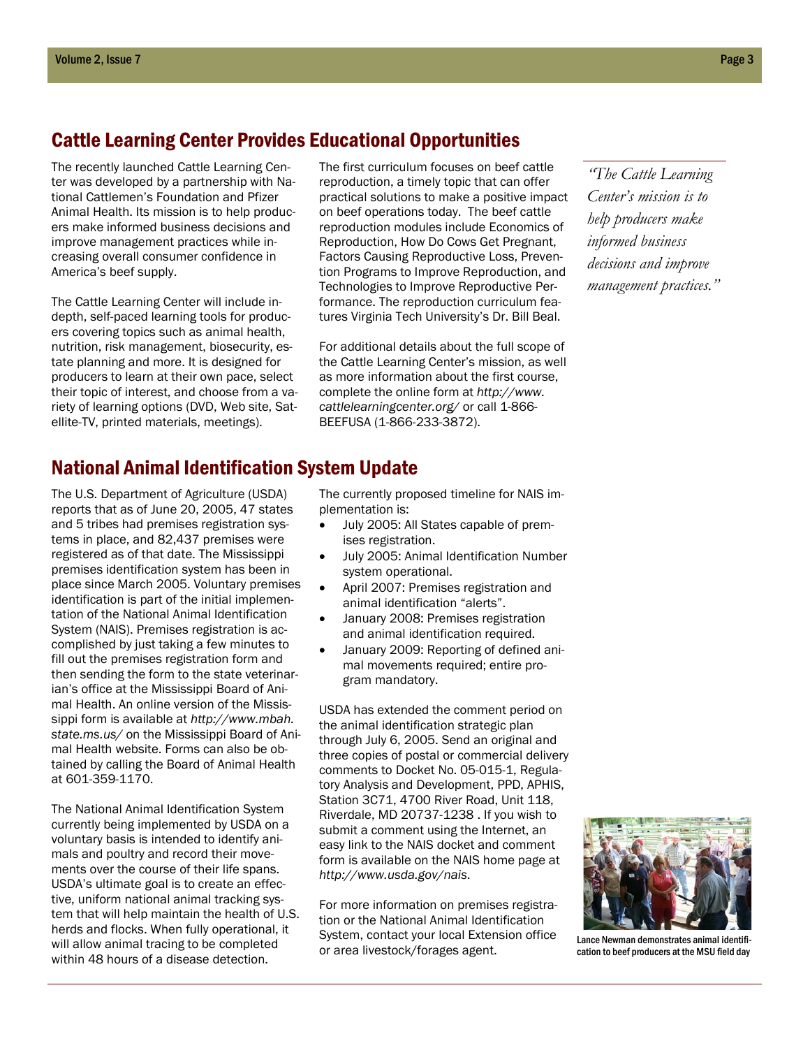## Cattle Learning Center Provides Educational Opportunities

The recently launched Cattle Learning Center was developed by a partnership with National Cattlemen's Foundation and Pfizer Animal Health. Its mission is to help producers make informed business decisions and improve management practices while increasing overall consumer confidence in America's beef supply.

The Cattle Learning Center will include indepth, self-paced learning tools for producers covering topics such as animal health, nutrition, risk management, biosecurity, estate planning and more. It is designed for producers to learn at their own pace, select their topic of interest, and choose from a variety of learning options (DVD, Web site, Satellite-TV, printed materials, meetings).

The first curriculum focuses on beef cattle reproduction, a timely topic that can offer practical solutions to make a positive impact on beef operations today. The beef cattle reproduction modules include Economics of Reproduction, How Do Cows Get Pregnant, Factors Causing Reproductive Loss, Prevention Programs to Improve Reproduction, and Technologies to Improve Reproductive Performance. The reproduction curriculum features Virginia Tech University's Dr. Bill Beal.

For additional details about the full scope of the Cattle Learning Center's mission, as well as more information about the first course, complete the online form at *http://www. cattlelearningcenter.org/* or call 1-866- BEEFUSA (1-866-233-3872).

*"The Cattle Learning Center's mission is to help producers make informed business decisions and improve management practices."* 

# National Animal Identification System Update

The U.S. Department of Agriculture (USDA) reports that as of June 20, 2005, 47 states and 5 tribes had premises registration systems in place, and 82,437 premises were registered as of that date. The Mississippi premises identification system has been in place since March 2005. Voluntary premises identification is part of the initial implementation of the National Animal Identification System (NAIS). Premises registration is accomplished by just taking a few minutes to fill out the premises registration form and then sending the form to the state veterinarian's office at the Mississippi Board of Animal Health. An online version of the Mississippi form is available at *http://www.mbah. state.ms.us/* on the Mississippi Board of Animal Health website. Forms can also be obtained by calling the Board of Animal Health at 601-359-1170.

The National Animal Identification System currently being implemented by USDA on a voluntary basis is intended to identify animals and poultry and record their movements over the course of their life spans. USDA's ultimate goal is to create an effective, uniform national animal tracking system that will help maintain the health of U.S. herds and flocks. When fully operational, it will allow animal tracing to be completed within 48 hours of a disease detection.

The currently proposed timeline for NAIS implementation is:

- July 2005: All States capable of premises registration.
- July 2005: Animal Identification Number system operational.
- April 2007: Premises registration and animal identification "alerts".
- January 2008: Premises registration and animal identification required.
- January 2009: Reporting of defined animal movements required; entire program mandatory.

USDA has extended the comment period on the animal identification strategic plan through July 6, 2005. Send an original and three copies of postal or commercial delivery comments to Docket No. 05-015-1, Regulatory Analysis and Development, PPD, APHIS, Station 3C71, 4700 River Road, Unit 118, Riverdale, MD 20737-1238 . If you wish to submit a comment using the Internet, an easy link to the NAIS docket and comment form is available on the NAIS home page at *http://www.usda.gov/nais*.

For more information on premises registration or the National Animal Identification System, contact your local Extension office or area livestock/forages agent.



Lance Newman demonstrates animal identification to beef producers at the MSU field day